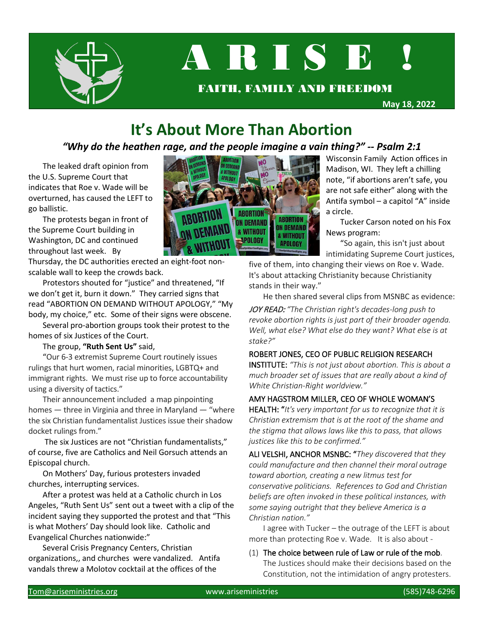

# A R I S E

FAITH, FAMILY AND FREEDOM

**May 18, 2022**

# **It's About More Than Abortion**

#### *"Why do the heathen rage, and the people imagine a vain thing?" -- Psalm 2:1*

The leaked draft opinion from the U.S. Supreme Court that indicates that Roe v. Wade will be overturned, has caused the LEFT to go ballistic.

The protests began in front of the Supreme Court building in Washington, DC and continued throughout last week. By

Thursday, the DC authorities erected an eight-foot nonscalable wall to keep the crowds back.

Protestors shouted for "justice" and threatened, "If we don't get it, burn it down." They carried signs that read "ABORTION ON DEMAND WITHOUT APOLOGY," "My body, my choice," etc. Some of their signs were obscene.

Several pro-abortion groups took their protest to the homes of six Justices of the Court.

The group, **"Ruth Sent Us"** said,

"Our 6-3 extremist Supreme Court routinely issues rulings that hurt women, racial minorities, LGBTQ+ and immigrant rights. We must rise up to force accountability using a diversity of tactics."

Their announcement included a map pinpointing homes — three in Virginia and three in Maryland — "where the six Christian fundamentalist Justices issue their shadow docket rulings from."

The six Justices are not "Christian fundamentalists," of course, five are Catholics and Neil Gorsuch attends an Episcopal church.

On Mothers' Day, furious protesters invaded churches, interrupting services.

After a protest was held at a Catholic church in Los Angeles, "Ruth Sent Us" sent out a tweet with a clip of the incident saying they supported the protest and that "This is what Mothers' Day should look like. Catholic and Evangelical Churches nationwide:"

Several Crisis Pregnancy Centers, Christian organizations,, and churches were vandalized. Antifa vandals threw a Molotov cocktail at the offices of the



Wisconsin Family Action offices in Madison, WI. They left a chilling note, "if abortions aren't safe, you are not safe either" along with the Antifa symbol – a capitol "A" inside a circle.

Tucker Carson noted on his Fox News program:

"So again, this isn't just about intimidating Supreme Court justices,

five of them, into changing their views on Roe v. Wade. It's about attacking Christianity because Christianity stands in their way."

He then shared several clips from MSNBC as evidence:

JOY READ: *"The Christian right's decades-long push to revoke abortion rights is just part of their broader agenda. Well, what else? What else do they want? What else is at stake?"*

#### ROBERT JONES, CEO OF PUBLIC RELIGION RESEARCH

INSTITUTE: *"This is not just about abortion. This is about a much broader set of issues that are really about a kind of White Christian-Right worldview."*

#### AMY HAGSTROM MILLER, CEO OF WHOLE WOMAN'S

HEALTH: "*It's very important for us to recognize that it is Christian extremism that is at the root of the shame and the stigma that allows laws like this to pass, that allows justices like this to be confirmed."*

ALI VELSHI, ANCHOR MSNBC: "*They discovered that they could manufacture and then channel their moral outrage toward abortion, creating a new litmus test for conservative politicians. References to God and Christian beliefs are often invoked in these political instances, with some saying outright that they believe America is a Christian nation."*

I agree with Tucker – the outrage of the LEFT is about more than protecting Roe v. Wade. It is also about -

(1) The choice between rule of Law or rule of the mob. The Justices should make their decisions based on the Constitution, not the intimidation of angry protesters.